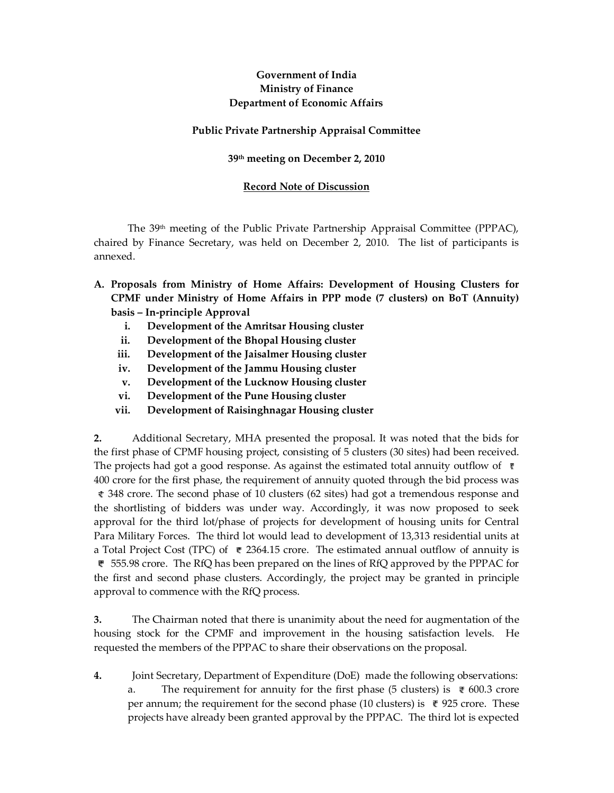# **Government of India Ministry of Finance Department of Economic Affairs**

## **Public Private Partnership Appraisal Committee**

### **39th meeting on December 2, 2010**

### **Record Note of Discussion**

The 39th meeting of the Public Private Partnership Appraisal Committee (PPPAC), chaired by Finance Secretary, was held on December 2, 2010. The list of participants is annexed.

- **A. Proposals from Ministry of Home Affairs: Development of Housing Clusters for CPMF under Ministry of Home Affairs in PPP mode (7 clusters) on BoT (Annuity) basis – In-principle Approval** 
	- **i. Development of the Amritsar Housing cluster**
	- **ii. Development of the Bhopal Housing cluster**
	- **iii. Development of the Jaisalmer Housing cluster**
	- **iv. Development of the Jammu Housing cluster**
	- **v. Development of the Lucknow Housing cluster**
	- **vi. Development of the Pune Housing cluster**
	- **vii. Development of Raisinghnagar Housing cluster**

**2.** Additional Secretary, MHA presented the proposal. It was noted that the bids for the first phase of CPMF housing project, consisting of 5 clusters (30 sites) had been received. The projects had got a good response. As against the estimated total annuity outflow of  $\bar{\tau}$ 400 crore for the first phase, the requirement of annuity quoted through the bid process was 348 crore. The second phase of 10 clusters (62 sites) had got a tremendous response and the shortlisting of bidders was under way. Accordingly, it was now proposed to seek approval for the third lot/phase of projects for development of housing units for Central Para Military Forces. The third lot would lead to development of 13,313 residential units at a Total Project Cost (TPC) of  $\sqrt{\epsilon}$  2364.15 crore. The estimated annual outflow of annuity is 555.98 crore. The RfQ has been prepared on the lines of RfQ approved by the PPPAC for the first and second phase clusters. Accordingly, the project may be granted in principle approval to commence with the RfQ process.

**3.** The Chairman noted that there is unanimity about the need for augmentation of the housing stock for the CPMF and improvement in the housing satisfaction levels. He requested the members of the PPPAC to share their observations on the proposal.

**4.** Joint Secretary, Department of Expenditure (DoE) made the following observations: The requirement for annuity for the first phase (5 clusters) is  $\bar{\epsilon}$  600.3 crore per annum; the requirement for the second phase (10 clusters) is  $\bar{\ell}$  925 crore. These projects have already been granted approval by the PPPAC. The third lot is expected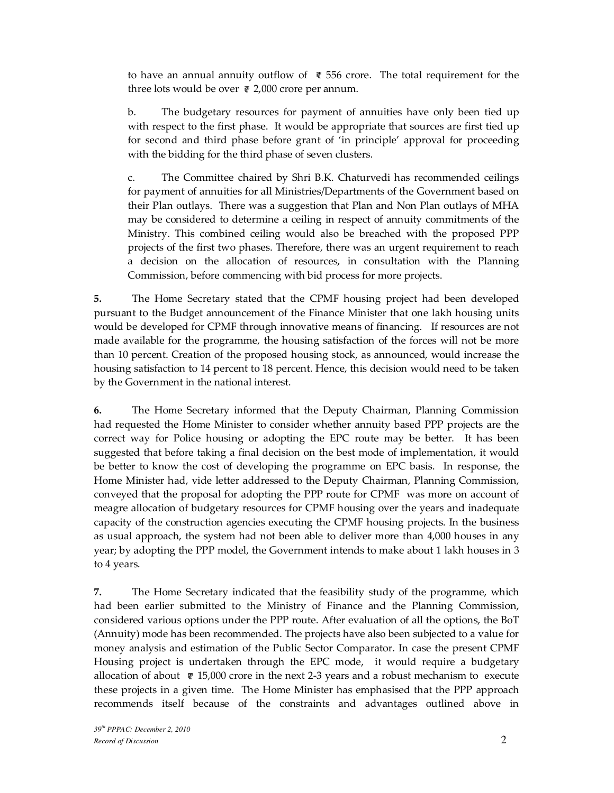to have an annual annuity outflow of  $\bar{\mathcal{F}}$  556 crore. The total requirement for the three lots would be over  $\bar{\tau}$  2,000 crore per annum.

b. The budgetary resources for payment of annuities have only been tied up with respect to the first phase. It would be appropriate that sources are first tied up for second and third phase before grant of 'in principle' approval for proceeding with the bidding for the third phase of seven clusters.

c. The Committee chaired by Shri B.K. Chaturvedi has recommended ceilings for payment of annuities for all Ministries/Departments of the Government based on their Plan outlays. There was a suggestion that Plan and Non Plan outlays of MHA may be considered to determine a ceiling in respect of annuity commitments of the Ministry. This combined ceiling would also be breached with the proposed PPP projects of the first two phases. Therefore, there was an urgent requirement to reach a decision on the allocation of resources, in consultation with the Planning Commission, before commencing with bid process for more projects.

**5.** The Home Secretary stated that the CPMF housing project had been developed pursuant to the Budget announcement of the Finance Minister that one lakh housing units would be developed for CPMF through innovative means of financing. If resources are not made available for the programme, the housing satisfaction of the forces will not be more than 10 percent. Creation of the proposed housing stock, as announced, would increase the housing satisfaction to 14 percent to 18 percent. Hence, this decision would need to be taken by the Government in the national interest.

**6.** The Home Secretary informed that the Deputy Chairman, Planning Commission had requested the Home Minister to consider whether annuity based PPP projects are the correct way for Police housing or adopting the EPC route may be better. It has been suggested that before taking a final decision on the best mode of implementation, it would be better to know the cost of developing the programme on EPC basis. In response, the Home Minister had, vide letter addressed to the Deputy Chairman, Planning Commission, conveyed that the proposal for adopting the PPP route for CPMF was more on account of meagre allocation of budgetary resources for CPMF housing over the years and inadequate capacity of the construction agencies executing the CPMF housing projects. In the business as usual approach, the system had not been able to deliver more than 4,000 houses in any year; by adopting the PPP model, the Government intends to make about 1 lakh houses in 3 to 4 years.

**7.** The Home Secretary indicated that the feasibility study of the programme, which had been earlier submitted to the Ministry of Finance and the Planning Commission, considered various options under the PPP route. After evaluation of all the options, the BoT (Annuity) mode has been recommended. The projects have also been subjected to a value for money analysis and estimation of the Public Sector Comparator. In case the present CPMF Housing project is undertaken through the EPC mode, it would require a budgetary allocation of about  $\sqrt{\epsilon}$  15,000 crore in the next 2-3 years and a robust mechanism to execute these projects in a given time. The Home Minister has emphasised that the PPP approach recommends itself because of the constraints and advantages outlined above in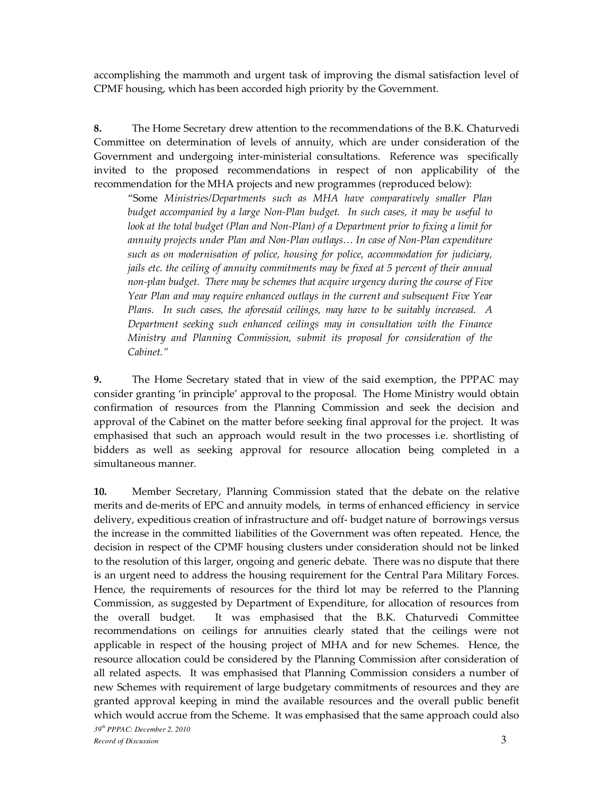accomplishing the mammoth and urgent task of improving the dismal satisfaction level of CPMF housing, which has been accorded high priority by the Government.

**8.** The Home Secretary drew attention to the recommendations of the B.K. Chaturvedi Committee on determination of levels of annuity, which are under consideration of the Government and undergoing inter-ministerial consultations. Reference was specifically invited to the proposed recommendations in respect of non applicability of the recommendation for the MHA projects and new programmes (reproduced below):

"Some *Ministries/Departments such as MHA have comparatively smaller Plan budget accompanied by a large Non-Plan budget. In such cases, it may be useful to look at the total budget (Plan and Non-Plan) of a Department prior to fixing a limit for annuity projects under Plan and Non-Plan outlays… In case of Non-Plan expenditure such as on modernisation of police, housing for police, accommodation for judiciary, jails etc. the ceiling of annuity commitments may be fixed at 5 percent of their annual non-plan budget. There may be schemes that acquire urgency during the course of Five Year Plan and may require enhanced outlays in the current and subsequent Five Year Plans. In such cases, the aforesaid ceilings, may have to be suitably increased. A Department seeking such enhanced ceilings may in consultation with the Finance Ministry and Planning Commission, submit its proposal for consideration of the Cabinet."*

**9.** The Home Secretary stated that in view of the said exemption, the PPPAC may consider granting 'in principle' approval to the proposal. The Home Ministry would obtain confirmation of resources from the Planning Commission and seek the decision and approval of the Cabinet on the matter before seeking final approval for the project. It was emphasised that such an approach would result in the two processes i.e. shortlisting of bidders as well as seeking approval for resource allocation being completed in a simultaneous manner.

*39th PPPAC: December 2, 2010 Record of Discussion* 3 **10.** Member Secretary, Planning Commission stated that the debate on the relative merits and de-merits of EPC and annuity models, in terms of enhanced efficiency in service delivery, expeditious creation of infrastructure and off- budget nature of borrowings versus the increase in the committed liabilities of the Government was often repeated. Hence, the decision in respect of the CPMF housing clusters under consideration should not be linked to the resolution of this larger, ongoing and generic debate. There was no dispute that there is an urgent need to address the housing requirement for the Central Para Military Forces. Hence, the requirements of resources for the third lot may be referred to the Planning Commission, as suggested by Department of Expenditure, for allocation of resources from the overall budget. It was emphasised that the B.K. Chaturvedi Committee recommendations on ceilings for annuities clearly stated that the ceilings were not applicable in respect of the housing project of MHA and for new Schemes. Hence, the resource allocation could be considered by the Planning Commission after consideration of all related aspects. It was emphasised that Planning Commission considers a number of new Schemes with requirement of large budgetary commitments of resources and they are granted approval keeping in mind the available resources and the overall public benefit which would accrue from the Scheme. It was emphasised that the same approach could also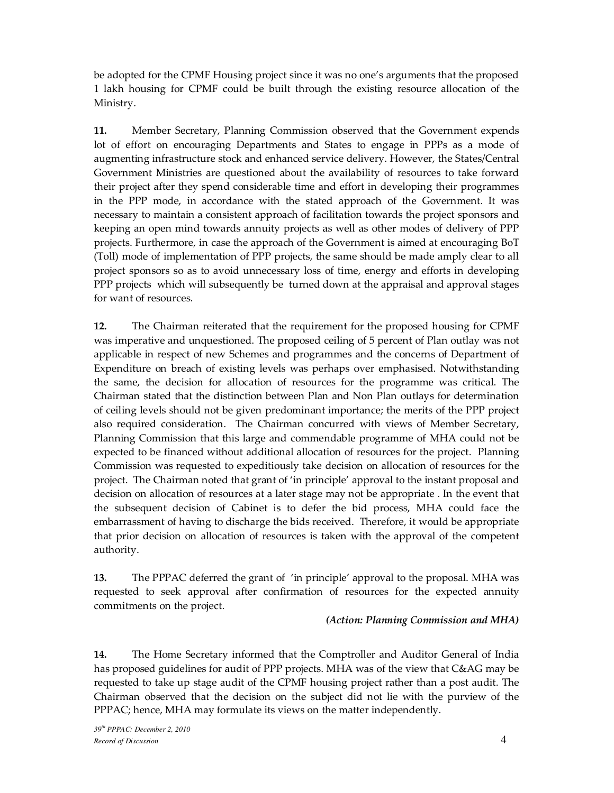be adopted for the CPMF Housing project since it was no one's arguments that the proposed 1 lakh housing for CPMF could be built through the existing resource allocation of the Ministry.

**11.** Member Secretary, Planning Commission observed that the Government expends lot of effort on encouraging Departments and States to engage in PPPs as a mode of augmenting infrastructure stock and enhanced service delivery. However, the States/Central Government Ministries are questioned about the availability of resources to take forward their project after they spend considerable time and effort in developing their programmes in the PPP mode, in accordance with the stated approach of the Government. It was necessary to maintain a consistent approach of facilitation towards the project sponsors and keeping an open mind towards annuity projects as well as other modes of delivery of PPP projects. Furthermore, in case the approach of the Government is aimed at encouraging BoT (Toll) mode of implementation of PPP projects, the same should be made amply clear to all project sponsors so as to avoid unnecessary loss of time, energy and efforts in developing PPP projects which will subsequently be turned down at the appraisal and approval stages for want of resources.

**12.** The Chairman reiterated that the requirement for the proposed housing for CPMF was imperative and unquestioned. The proposed ceiling of 5 percent of Plan outlay was not applicable in respect of new Schemes and programmes and the concerns of Department of Expenditure on breach of existing levels was perhaps over emphasised. Notwithstanding the same, the decision for allocation of resources for the programme was critical. The Chairman stated that the distinction between Plan and Non Plan outlays for determination of ceiling levels should not be given predominant importance; the merits of the PPP project also required consideration. The Chairman concurred with views of Member Secretary, Planning Commission that this large and commendable programme of MHA could not be expected to be financed without additional allocation of resources for the project. Planning Commission was requested to expeditiously take decision on allocation of resources for the project. The Chairman noted that grant of 'in principle' approval to the instant proposal and decision on allocation of resources at a later stage may not be appropriate . In the event that the subsequent decision of Cabinet is to defer the bid process, MHA could face the embarrassment of having to discharge the bids received. Therefore, it would be appropriate that prior decision on allocation of resources is taken with the approval of the competent authority.

**13.** The PPPAC deferred the grant of 'in principle' approval to the proposal. MHA was requested to seek approval after confirmation of resources for the expected annuity commitments on the project.

### *(Action: Planning Commission and MHA)*

**14.** The Home Secretary informed that the Comptroller and Auditor General of India has proposed guidelines for audit of PPP projects. MHA was of the view that C&AG may be requested to take up stage audit of the CPMF housing project rather than a post audit. The Chairman observed that the decision on the subject did not lie with the purview of the PPPAC; hence, MHA may formulate its views on the matter independently.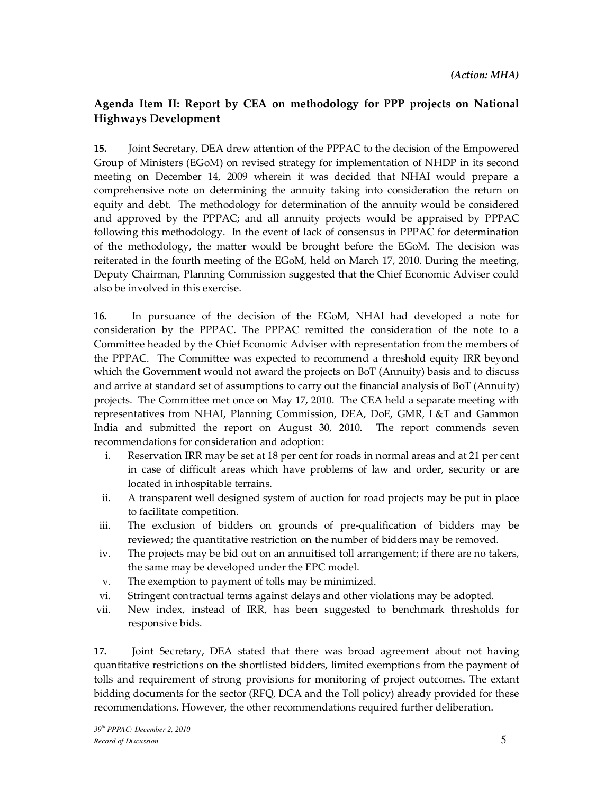# **Agenda Item II: Report by CEA on methodology for PPP projects on National Highways Development**

**15.** Joint Secretary, DEA drew attention of the PPPAC to the decision of the Empowered Group of Ministers (EGoM) on revised strategy for implementation of NHDP in its second meeting on December 14, 2009 wherein it was decided that NHAI would prepare a comprehensive note on determining the annuity taking into consideration the return on equity and debt. The methodology for determination of the annuity would be considered and approved by the PPPAC; and all annuity projects would be appraised by PPPAC following this methodology. In the event of lack of consensus in PPPAC for determination of the methodology, the matter would be brought before the EGoM. The decision was reiterated in the fourth meeting of the EGoM, held on March 17, 2010. During the meeting, Deputy Chairman, Planning Commission suggested that the Chief Economic Adviser could also be involved in this exercise.

**16.** In pursuance of the decision of the EGoM, NHAI had developed a note for consideration by the PPPAC. The PPPAC remitted the consideration of the note to a Committee headed by the Chief Economic Adviser with representation from the members of the PPPAC. The Committee was expected to recommend a threshold equity IRR beyond which the Government would not award the projects on BoT (Annuity) basis and to discuss and arrive at standard set of assumptions to carry out the financial analysis of BoT (Annuity) projects. The Committee met once on May 17, 2010. The CEA held a separate meeting with representatives from NHAI, Planning Commission, DEA, DoE, GMR, L&T and Gammon India and submitted the report on August 30, 2010. The report commends seven recommendations for consideration and adoption:

- i. Reservation IRR may be set at 18 per cent for roads in normal areas and at 21 per cent in case of difficult areas which have problems of law and order, security or are located in inhospitable terrains.
- ii. A transparent well designed system of auction for road projects may be put in place to facilitate competition.
- iii. The exclusion of bidders on grounds of pre-qualification of bidders may be reviewed; the quantitative restriction on the number of bidders may be removed.
- iv. The projects may be bid out on an annuitised toll arrangement; if there are no takers, the same may be developed under the EPC model.
- v. The exemption to payment of tolls may be minimized.
- vi. Stringent contractual terms against delays and other violations may be adopted.
- vii. New index, instead of IRR, has been suggested to benchmark thresholds for responsive bids.

**17.** Joint Secretary, DEA stated that there was broad agreement about not having quantitative restrictions on the shortlisted bidders, limited exemptions from the payment of tolls and requirement of strong provisions for monitoring of project outcomes. The extant bidding documents for the sector (RFQ, DCA and the Toll policy) already provided for these recommendations. However, the other recommendations required further deliberation.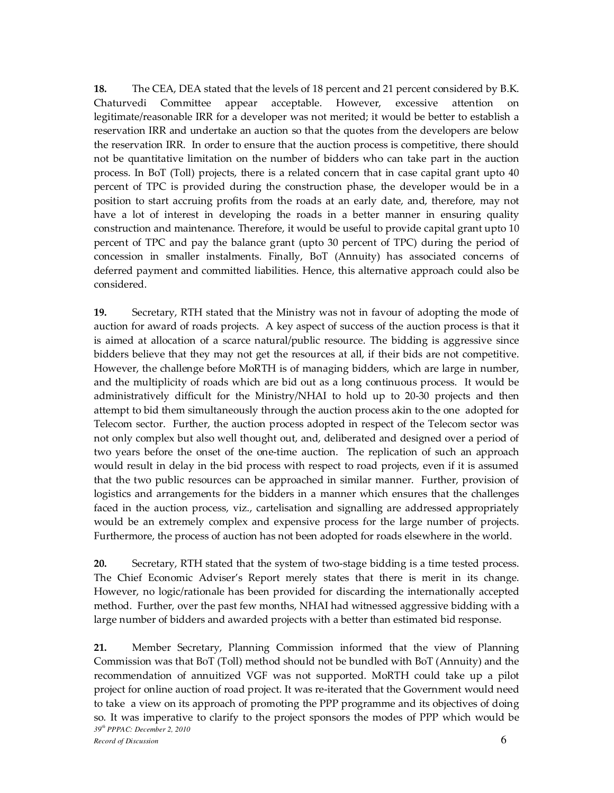**18.** The CEA, DEA stated that the levels of 18 percent and 21 percent considered by B.K. Chaturvedi Committee appear acceptable. However, excessive attention on legitimate/reasonable IRR for a developer was not merited; it would be better to establish a reservation IRR and undertake an auction so that the quotes from the developers are below the reservation IRR. In order to ensure that the auction process is competitive, there should not be quantitative limitation on the number of bidders who can take part in the auction process. In BoT (Toll) projects, there is a related concern that in case capital grant upto 40 percent of TPC is provided during the construction phase, the developer would be in a position to start accruing profits from the roads at an early date, and, therefore, may not have a lot of interest in developing the roads in a better manner in ensuring quality construction and maintenance. Therefore, it would be useful to provide capital grant upto 10 percent of TPC and pay the balance grant (upto 30 percent of TPC) during the period of concession in smaller instalments. Finally, BoT (Annuity) has associated concerns of deferred payment and committed liabilities. Hence, this alternative approach could also be considered.

**19.** Secretary, RTH stated that the Ministry was not in favour of adopting the mode of auction for award of roads projects. A key aspect of success of the auction process is that it is aimed at allocation of a scarce natural/public resource. The bidding is aggressive since bidders believe that they may not get the resources at all, if their bids are not competitive. However, the challenge before MoRTH is of managing bidders, which are large in number, and the multiplicity of roads which are bid out as a long continuous process. It would be administratively difficult for the Ministry/NHAI to hold up to 20-30 projects and then attempt to bid them simultaneously through the auction process akin to the one adopted for Telecom sector. Further, the auction process adopted in respect of the Telecom sector was not only complex but also well thought out, and, deliberated and designed over a period of two years before the onset of the one-time auction. The replication of such an approach would result in delay in the bid process with respect to road projects, even if it is assumed that the two public resources can be approached in similar manner. Further, provision of logistics and arrangements for the bidders in a manner which ensures that the challenges faced in the auction process, viz., cartelisation and signalling are addressed appropriately would be an extremely complex and expensive process for the large number of projects. Furthermore, the process of auction has not been adopted for roads elsewhere in the world.

**20.** Secretary, RTH stated that the system of two-stage bidding is a time tested process. The Chief Economic Adviser's Report merely states that there is merit in its change. However, no logic/rationale has been provided for discarding the internationally accepted method. Further, over the past few months, NHAI had witnessed aggressive bidding with a large number of bidders and awarded projects with a better than estimated bid response.

*39th PPPAC: December 2, 2010 Record of Discussion* 6 **21.** Member Secretary, Planning Commission informed that the view of Planning Commission was that BoT (Toll) method should not be bundled with BoT (Annuity) and the recommendation of annuitized VGF was not supported. MoRTH could take up a pilot project for online auction of road project. It was re-iterated that the Government would need to take a view on its approach of promoting the PPP programme and its objectives of doing so. It was imperative to clarify to the project sponsors the modes of PPP which would be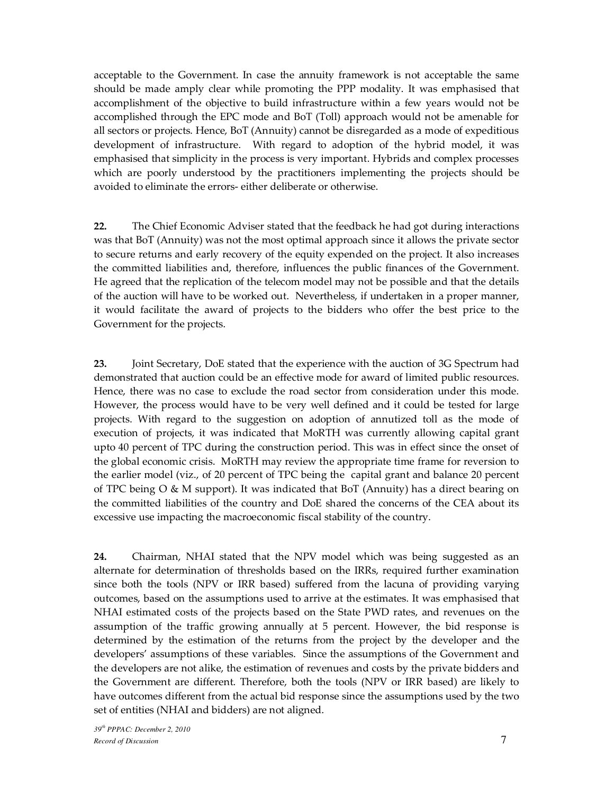acceptable to the Government. In case the annuity framework is not acceptable the same should be made amply clear while promoting the PPP modality. It was emphasised that accomplishment of the objective to build infrastructure within a few years would not be accomplished through the EPC mode and BoT (Toll) approach would not be amenable for all sectors or projects. Hence, BoT (Annuity) cannot be disregarded as a mode of expeditious development of infrastructure. With regard to adoption of the hybrid model, it was emphasised that simplicity in the process is very important. Hybrids and complex processes which are poorly understood by the practitioners implementing the projects should be avoided to eliminate the errors- either deliberate or otherwise.

**22.** The Chief Economic Adviser stated that the feedback he had got during interactions was that BoT (Annuity) was not the most optimal approach since it allows the private sector to secure returns and early recovery of the equity expended on the project. It also increases the committed liabilities and, therefore, influences the public finances of the Government. He agreed that the replication of the telecom model may not be possible and that the details of the auction will have to be worked out. Nevertheless, if undertaken in a proper manner, it would facilitate the award of projects to the bidders who offer the best price to the Government for the projects.

**23.** Joint Secretary, DoE stated that the experience with the auction of 3G Spectrum had demonstrated that auction could be an effective mode for award of limited public resources. Hence, there was no case to exclude the road sector from consideration under this mode. However, the process would have to be very well defined and it could be tested for large projects. With regard to the suggestion on adoption of annutized toll as the mode of execution of projects, it was indicated that MoRTH was currently allowing capital grant upto 40 percent of TPC during the construction period. This was in effect since the onset of the global economic crisis. MoRTH may review the appropriate time frame for reversion to the earlier model (viz., of 20 percent of TPC being the capital grant and balance 20 percent of TPC being O & M support). It was indicated that BoT (Annuity) has a direct bearing on the committed liabilities of the country and DoE shared the concerns of the CEA about its excessive use impacting the macroeconomic fiscal stability of the country.

**24.** Chairman, NHAI stated that the NPV model which was being suggested as an alternate for determination of thresholds based on the IRRs, required further examination since both the tools (NPV or IRR based) suffered from the lacuna of providing varying outcomes, based on the assumptions used to arrive at the estimates. It was emphasised that NHAI estimated costs of the projects based on the State PWD rates, and revenues on the assumption of the traffic growing annually at 5 percent. However, the bid response is determined by the estimation of the returns from the project by the developer and the developers' assumptions of these variables. Since the assumptions of the Government and the developers are not alike, the estimation of revenues and costs by the private bidders and the Government are different. Therefore, both the tools (NPV or IRR based) are likely to have outcomes different from the actual bid response since the assumptions used by the two set of entities (NHAI and bidders) are not aligned.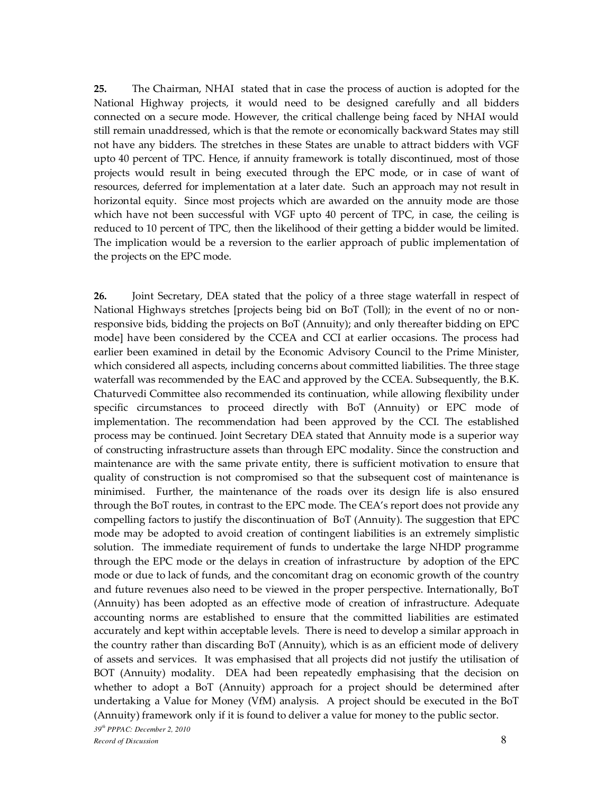**25.** The Chairman, NHAI stated that in case the process of auction is adopted for the National Highway projects, it would need to be designed carefully and all bidders connected on a secure mode. However, the critical challenge being faced by NHAI would still remain unaddressed, which is that the remote or economically backward States may still not have any bidders. The stretches in these States are unable to attract bidders with VGF upto 40 percent of TPC. Hence, if annuity framework is totally discontinued, most of those projects would result in being executed through the EPC mode, or in case of want of resources, deferred for implementation at a later date. Such an approach may not result in horizontal equity. Since most projects which are awarded on the annuity mode are those which have not been successful with VGF upto 40 percent of TPC, in case, the ceiling is reduced to 10 percent of TPC, then the likelihood of their getting a bidder would be limited. The implication would be a reversion to the earlier approach of public implementation of the projects on the EPC mode.

*39th PPPAC: December 2, 2010 Record of Discussion* 8 **26.** Joint Secretary, DEA stated that the policy of a three stage waterfall in respect of National Highways stretches [projects being bid on BoT (Toll); in the event of no or nonresponsive bids, bidding the projects on BoT (Annuity); and only thereafter bidding on EPC mode] have been considered by the CCEA and CCI at earlier occasions. The process had earlier been examined in detail by the Economic Advisory Council to the Prime Minister, which considered all aspects, including concerns about committed liabilities. The three stage waterfall was recommended by the EAC and approved by the CCEA. Subsequently, the B.K. Chaturvedi Committee also recommended its continuation, while allowing flexibility under specific circumstances to proceed directly with BoT (Annuity) or EPC mode of implementation. The recommendation had been approved by the CCI. The established process may be continued. Joint Secretary DEA stated that Annuity mode is a superior way of constructing infrastructure assets than through EPC modality. Since the construction and maintenance are with the same private entity, there is sufficient motivation to ensure that quality of construction is not compromised so that the subsequent cost of maintenance is minimised. Further, the maintenance of the roads over its design life is also ensured through the BoT routes, in contrast to the EPC mode. The CEA's report does not provide any compelling factors to justify the discontinuation of BoT (Annuity). The suggestion that EPC mode may be adopted to avoid creation of contingent liabilities is an extremely simplistic solution. The immediate requirement of funds to undertake the large NHDP programme through the EPC mode or the delays in creation of infrastructure by adoption of the EPC mode or due to lack of funds, and the concomitant drag on economic growth of the country and future revenues also need to be viewed in the proper perspective. Internationally, BoT (Annuity) has been adopted as an effective mode of creation of infrastructure. Adequate accounting norms are established to ensure that the committed liabilities are estimated accurately and kept within acceptable levels. There is need to develop a similar approach in the country rather than discarding BoT (Annuity), which is as an efficient mode of delivery of assets and services. It was emphasised that all projects did not justify the utilisation of BOT (Annuity) modality. DEA had been repeatedly emphasising that the decision on whether to adopt a BoT (Annuity) approach for a project should be determined after undertaking a Value for Money (VfM) analysis. A project should be executed in the BoT (Annuity) framework only if it is found to deliver a value for money to the public sector.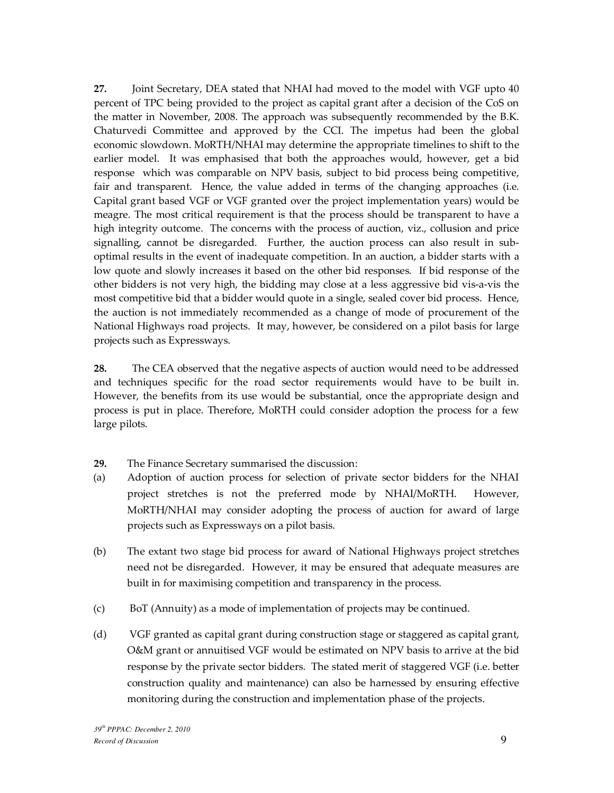**27.** Joint Secretary, DEA stated that NHAI had moved to the model with VGF upto 40 percent of TPC being provided to the project as capital grant after a decision of the CoS on the matter in November, 2008. The approach was subsequently recommended by the B.K. Chaturvedi Committee and approved by the CCI. The impetus had been the global economic slowdown. MoRTH/NHAI may determine the appropriate timelines to shift to the earlier model. It was emphasised that both the approaches would, however, get a bid response which was comparable on NPV basis, subject to bid process being competitive, fair and transparent. Hence, the value added in terms of the changing approaches (i.e. Capital grant based VGF or VGF granted over the project implementation years) would be meagre. The most critical requirement is that the process should be transparent to have a high integrity outcome. The concerns with the process of auction, viz., collusion and price signalling, cannot be disregarded. Further, the auction process can also result in suboptimal results in the event of inadequate competition. In an auction, a bidder starts with a low quote and slowly increases it based on the other bid responses. If bid response of the other bidders is not very high, the bidding may close at a less aggressive bid vis-a-vis the most competitive bid that a bidder would quote in a single, sealed cover bid process. Hence, the auction is not immediately recommended as a change of mode of procurement of the National Highways road projects. It may, however, be considered on a pilot basis for large projects such as Expressways.

**28.** The CEA observed that the negative aspects of auction would need to be addressed and techniques specific for the road sector requirements would have to be built in. However, the benefits from its use would be substantial, once the appropriate design and process is put in place. Therefore, MoRTH could consider adoption the process for a few large pilots.

- **29.** The Finance Secretary summarised the discussion:
- (a) Adoption of auction process for selection of private sector bidders for the NHAI project stretches is not the preferred mode by NHAI/MoRTH. However, MoRTH/NHAI may consider adopting the process of auction for award of large projects such as Expressways on a pilot basis.
- (b) The extant two stage bid process for award of National Highways project stretches need not be disregarded. However, it may be ensured that adequate measures are built in for maximising competition and transparency in the process.
- (c) BoT (Annuity) as a mode of implementation of projects may be continued.
- (d) VGF granted as capital grant during construction stage or staggered as capital grant, O&M grant or annuitised VGF would be estimated on NPV basis to arrive at the bid response by the private sector bidders. The stated merit of staggered VGF (i.e. better construction quality and maintenance) can also be harnessed by ensuring effective monitoring during the construction and implementation phase of the projects.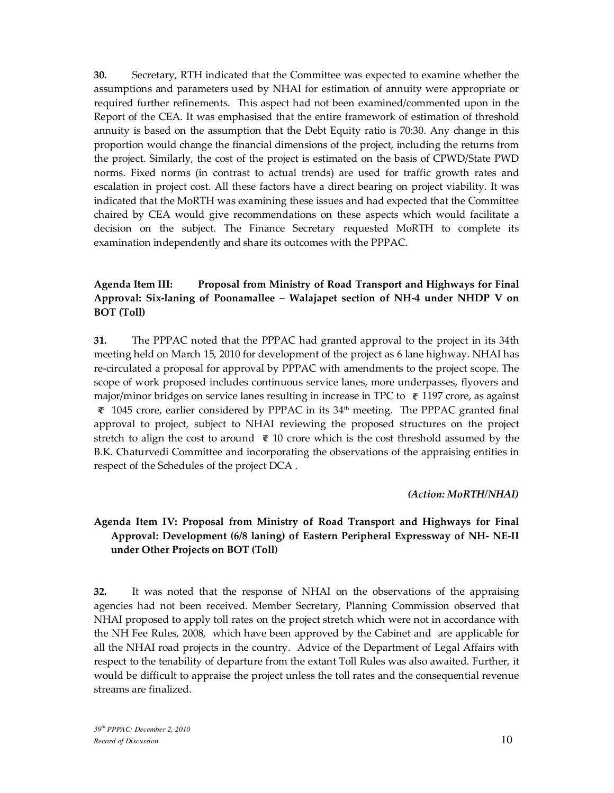**30.** Secretary, RTH indicated that the Committee was expected to examine whether the assumptions and parameters used by NHAI for estimation of annuity were appropriate or required further refinements. This aspect had not been examined/commented upon in the Report of the CEA. It was emphasised that the entire framework of estimation of threshold annuity is based on the assumption that the Debt Equity ratio is 70:30. Any change in this proportion would change the financial dimensions of the project, including the returns from the project. Similarly, the cost of the project is estimated on the basis of CPWD/State PWD norms. Fixed norms (in contrast to actual trends) are used for traffic growth rates and escalation in project cost. All these factors have a direct bearing on project viability. It was indicated that the MoRTH was examining these issues and had expected that the Committee chaired by CEA would give recommendations on these aspects which would facilitate a decision on the subject. The Finance Secretary requested MoRTH to complete its examination independently and share its outcomes with the PPPAC.

# **Agenda Item III: Proposal from Ministry of Road Transport and Highways for Final Approval: Six-laning of Poonamallee – Walajapet section of NH-4 under NHDP V on BOT (Toll)**

**31.** The PPPAC noted that the PPPAC had granted approval to the project in its 34th meeting held on March 15, 2010 for development of the project as 6 lane highway. NHAI has re-circulated a proposal for approval by PPPAC with amendments to the project scope. The scope of work proposed includes continuous service lanes, more underpasses, flyovers and major/minor bridges on service lanes resulting in increase in TPC to  $\bar{\tau}$  1197 crore, as against  $\bar{\tau}$  1045 crore, earlier considered by PPPAC in its 34<sup>th</sup> meeting. The PPPAC granted final approval to project, subject to NHAI reviewing the proposed structures on the project stretch to align the cost to around  $\bar{\tau}$  10 crore which is the cost threshold assumed by the B.K. Chaturvedi Committee and incorporating the observations of the appraising entities in respect of the Schedules of the project DCA .

### *(Action: MoRTH/NHAI)*

# **Agenda Item IV: Proposal from Ministry of Road Transport and Highways for Final Approval: Development (6/8 laning) of Eastern Peripheral Expressway of NH- NE-II under Other Projects on BOT (Toll)**

**32.** It was noted that the response of NHAI on the observations of the appraising agencies had not been received. Member Secretary, Planning Commission observed that NHAI proposed to apply toll rates on the project stretch which were not in accordance with the NH Fee Rules, 2008, which have been approved by the Cabinet and are applicable for all the NHAI road projects in the country. Advice of the Department of Legal Affairs with respect to the tenability of departure from the extant Toll Rules was also awaited. Further, it would be difficult to appraise the project unless the toll rates and the consequential revenue streams are finalized.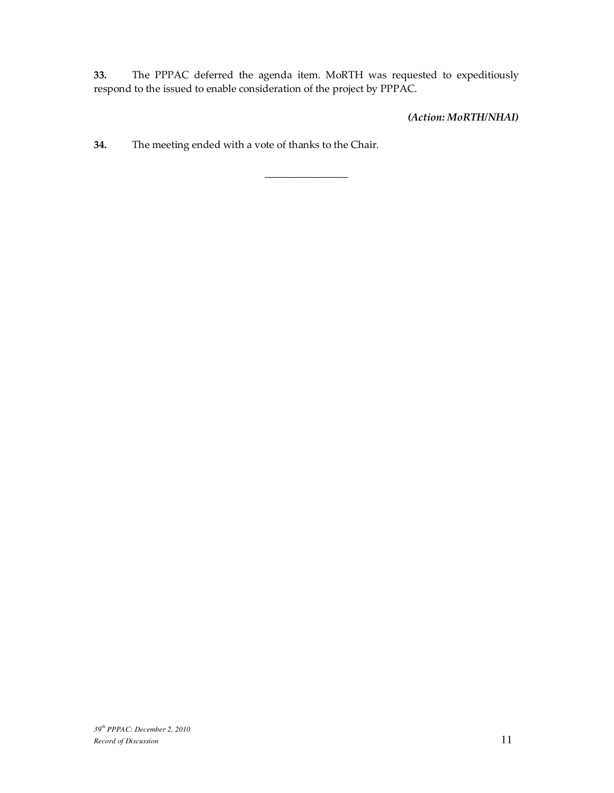**33.** The PPPAC deferred the agenda item. MoRTH was requested to expeditiously respond to the issued to enable consideration of the project by PPPAC.

\_\_\_\_\_\_\_\_\_\_\_\_\_\_\_\_

*(Action: MoRTH/NHAI)*

**34.** The meeting ended with a vote of thanks to the Chair.